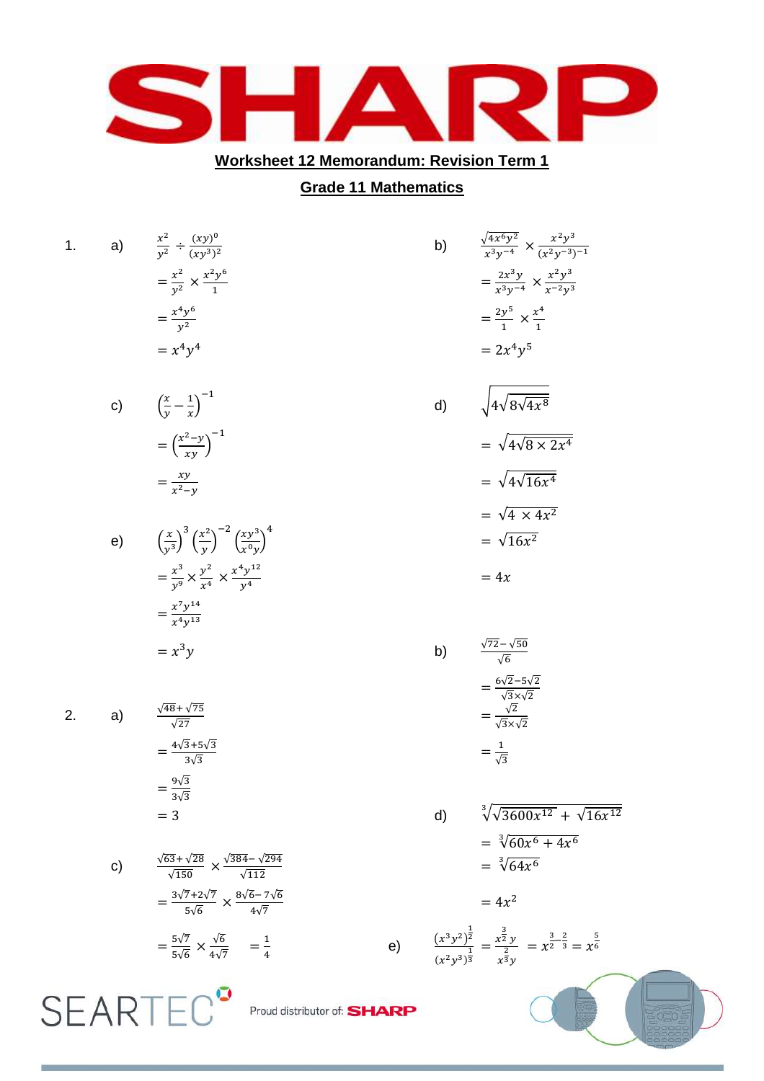

## **Worksheet 12 Memorandum: Revision Term 1**

## **Grade 11 Mathematics**

|   | 1. | a) | $rac{x^2}{y^2} \div \frac{(xy)^0}{(xy^3)^2}$                                                       |                             | b) | $\frac{\sqrt{4x^6y^2}}{x^3y^{-4}} \times \frac{x^2y^3}{(x^2y^{-3})^{-1}}$                                                                              |  |
|---|----|----|----------------------------------------------------------------------------------------------------|-----------------------------|----|--------------------------------------------------------------------------------------------------------------------------------------------------------|--|
|   |    |    | $=\frac{x^2}{y^2}\times \frac{x^2y^6}{1}$                                                          |                             |    | $=\frac{2x^3y}{x^3y^{-4}} \times \frac{x^2y^3}{x^{-2}y^3}$                                                                                             |  |
|   |    |    | $=\frac{x^4y^6}{y^2}$                                                                              |                             |    | $=\frac{2y^5}{1} \times \frac{x^4}{1}$                                                                                                                 |  |
|   |    |    | $= x^4y^4$                                                                                         |                             |    | $= 2x^4v^5$                                                                                                                                            |  |
|   |    | c) | $\left(\frac{x}{y} - \frac{1}{r}\right)^{-1}$                                                      |                             | d) | $\sqrt{4\sqrt{8\sqrt{4x^8}}}$                                                                                                                          |  |
|   |    |    | $=\left(\frac{x^2-y}{xy}\right)^{-1}$                                                              |                             |    | $=\sqrt{4\sqrt{8\times 2x^4}}$                                                                                                                         |  |
|   |    |    | $=\frac{xy}{x^2-y}$                                                                                |                             |    | $=\sqrt{4\sqrt{16x^4}}$                                                                                                                                |  |
|   |    |    |                                                                                                    |                             |    | $=\sqrt{4 \times 4x^2}$                                                                                                                                |  |
|   |    |    | e) $\left(\frac{x}{v^3}\right)^3 \left(\frac{x^2}{v}\right)^{-2} \left(\frac{xy^3}{v^0v}\right)^4$ |                             |    | $=\sqrt{16x^2}$                                                                                                                                        |  |
|   |    |    | $=\frac{x^3}{v^9} \times \frac{y^2}{x^4} \times \frac{x^4 y^{12}}{y^4}$                            |                             |    | $=4x$                                                                                                                                                  |  |
|   |    |    | $=\frac{x^7y^{14}}{x^4y^{13}}$                                                                     |                             |    |                                                                                                                                                        |  |
|   |    |    | $= x^3 y$                                                                                          |                             | b) | $\frac{\sqrt{72}-\sqrt{50}}{\sqrt{6}}$                                                                                                                 |  |
|   |    |    |                                                                                                    |                             |    | $=\frac{6\sqrt{2}-5\sqrt{2}}{\sqrt{3}\times\sqrt{2}}$                                                                                                  |  |
|   | 2. | a) | $\frac{\sqrt{48} + \sqrt{75}}{\sqrt{27}}$                                                          |                             |    | $=\frac{\sqrt{2}}{\sqrt{3}\times\sqrt{2}}$                                                                                                             |  |
|   |    |    | $=\frac{4\sqrt{3}+5\sqrt{3}}{3\sqrt{3}}$                                                           |                             |    | $=\frac{1}{\sqrt{3}}$                                                                                                                                  |  |
|   |    |    | $=\frac{9\sqrt{3}}{3\sqrt{3}}$                                                                     |                             |    |                                                                                                                                                        |  |
|   |    |    | $=$ 3                                                                                              |                             | d) | $\sqrt[3]{\sqrt{3600x^{12}} + \sqrt{16x^{12}}}$                                                                                                        |  |
|   |    | c) | $\frac{\sqrt{63} + \sqrt{28}}{\sqrt{150}} \times \frac{\sqrt{384} - \sqrt{294}}{\sqrt{112}}$       |                             |    | $=\sqrt[3]{60x^6+4x^6}$<br>$=\sqrt[3]{64x^6}$                                                                                                          |  |
|   |    |    |                                                                                                    |                             |    |                                                                                                                                                        |  |
|   |    |    | $=\frac{3\sqrt{7}+2\sqrt{7}}{5\sqrt{6}}\times\frac{8\sqrt{6}-7\sqrt{6}}{4\sqrt{7}}$                |                             |    | $= 4x^2$                                                                                                                                               |  |
|   |    |    | $=\frac{5\sqrt{7}}{5\sqrt{6}} \times \frac{\sqrt{6}}{4\sqrt{7}} = \frac{1}{4}$                     |                             |    | e) $\frac{(x^3y^2)^{\frac{1}{2}}}{(x^2y^3)^{\frac{1}{3}}} = \frac{x^{\frac{3}{2}}y}{x^{\frac{2}{3}}y} = x^{\frac{3}{2}-\frac{2}{3}} = x^{\frac{5}{6}}$ |  |
| S |    |    |                                                                                                    | Proud distributor of: SHARP |    |                                                                                                                                                        |  |
|   |    |    |                                                                                                    |                             |    |                                                                                                                                                        |  |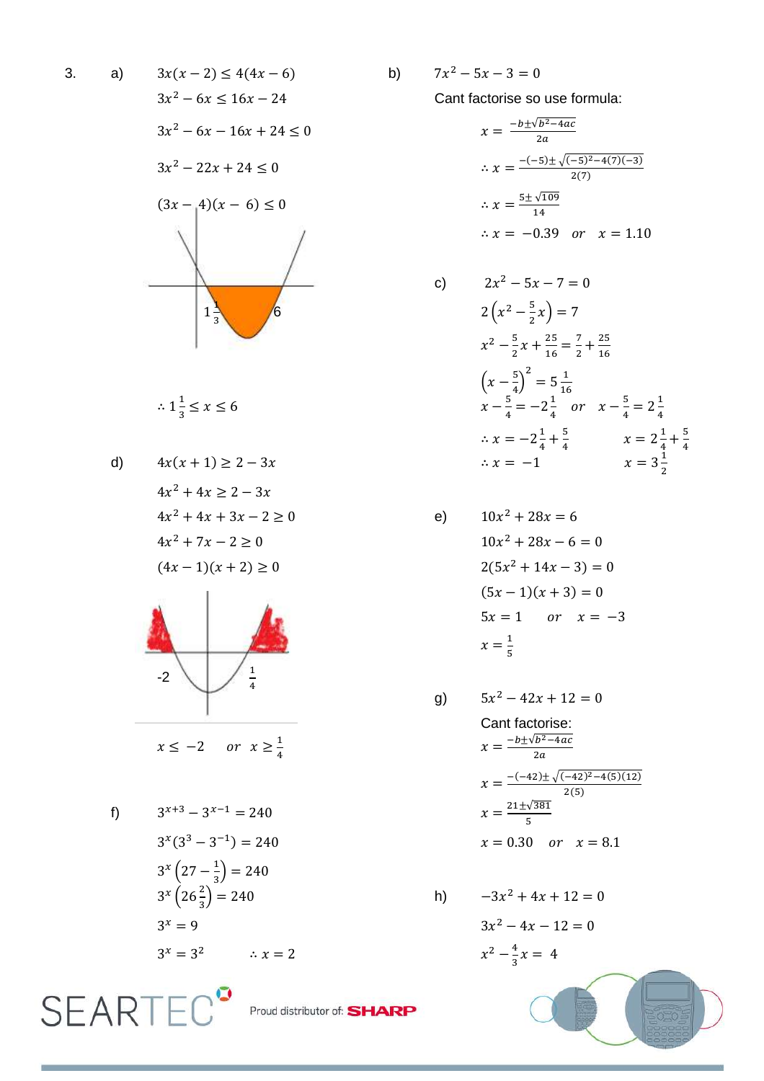$$
3x(x - 2) \le 4(4x - 6)
$$
  
\n
$$
3x^{2} - 6x \le 16x - 24
$$
  
\n
$$
3x^{2} - 6x - 16x + 24 \le 0
$$
  
\n
$$
3x^{2} - 22x + 24 \le 0
$$
  
\n
$$
(3x - 4)(x - 6) \le 0
$$
  
\n
$$
3x - 4 = 0
$$
  
\n
$$
3x - 4 = 0
$$
  
\n
$$
3x - 4 = 0
$$
  
\n
$$
3x - 4 = 0
$$
  
\n
$$
3x - 4 = 0
$$
  
\n
$$
3x - 4 = 0
$$
  
\n
$$
3x - 4 = 0
$$
  
\n
$$
3x - 4 = 0
$$
  
\n
$$
3x - 4 = 0
$$
  
\n
$$
3x - 4 = 0
$$
  
\n
$$
3x - 4 = 0
$$
  
\n
$$
3x - 4 = 0
$$
  
\n
$$
3x - 4 = 0
$$
  
\n
$$
3x - 4 = 0
$$
  
\n
$$
3x - 4 = 0
$$
  
\n
$$
3x - 4 = 0
$$
  
\n
$$
3x - 4 = 0
$$
  
\n
$$
3x - 4 = 0
$$
  
\n
$$
3x - 4 = 0
$$
  
\n
$$
3x - 4 = 0
$$
  
\n
$$
3x - 4 = 0
$$
  
\n
$$
3x - 4 = 0
$$
  
\n
$$
3x - 4 = 0
$$
  
\n
$$
3x - 4 = 0
$$
  
\n
$$
3x - 4 = 0
$$
  
\n
$$
3x - 4 = 0
$$
  
\n
$$
3x - 4 = 0
$$
  
\n
$$
3x - 4 = 0
$$
  
\n
$$
3x - 4 = 0
$$
  
\n
$$
3x - 4 = 0
$$
  
\n
$$
3x - 4 = 0
$$

$$
\therefore 1\frac{1}{3} \le x \le 6
$$

d) 
$$
4x(x + 1) \ge 2 - 3x
$$
   
\n $4x^2 + 4x \ge 2 - 3x$    
\n $4x^2 + 4x + 3x - 2 \ge 0$    
\n $4x^2 + 7x - 2 \ge 0$    
\n $4x^2 + 7x - 2 \ge 0$    
\n $10x$    
\n $(4x - 1)(x + 2) \ge 0$    
\n $2(5$ 



$$
x \le -2 \quad or \quad x \ge \frac{1}{4}
$$

$$
3^{x+3}-3^x
$$

**SEARTEC<sup>°</sup>** 

$$
3^{x}(3^{3} - 3^{-1}) = 240
$$
  
\n
$$
3^{x}(27 - \frac{1}{3}) = 240
$$
  
\n
$$
3^{x}(26\frac{2}{3}) = 240
$$
  
\n
$$
3^{x} = 9
$$
  
\n
$$
3^{x} = 3^{2}
$$
  
\n
$$
3^{x} = 2
$$
  
\n
$$
3^{x} = 2
$$
  
\n
$$
3^{x} = 2
$$
  
\n
$$
3^{x} = 2
$$
  
\n
$$
3^{x} = 2
$$
  
\n
$$
3^{x} = 2
$$
  
\n
$$
3^{x} = 2
$$
  
\n
$$
3^{x} = 2
$$
  
\n
$$
3^{x} = 2
$$
  
\n
$$
3^{x} = 2
$$
  
\n
$$
3^{x} = 2
$$
  
\n
$$
3^{x} = 2
$$
  
\n
$$
3^{x} = 2
$$
  
\n
$$
3^{x} = 2
$$
  
\n
$$
3^{x} = 2
$$
  
\n
$$
3^{x} = 2
$$
  
\n
$$
3^{x} = 2
$$
  
\n
$$
3^{x} = 2
$$

b)  $7x^2 - 5x - 3 = 0$ 

Cant factorise so use formula:

$$
x = \frac{-b \pm \sqrt{b^2 - 4ac}}{2a}
$$
  
\n
$$
\therefore x = \frac{-(-5) \pm \sqrt{(-5)^2 - 4(7)(-3)}}{2(7)}
$$
  
\n
$$
\therefore x = \frac{5 \pm \sqrt{109}}{14}
$$
  
\n
$$
\therefore x = -0.39 \text{ or } x = 1.10
$$

c) 
$$
2x^2 - 5x - 7 = 0
$$
  
\n $2\left(x^2 - \frac{5}{2}x\right) = 7$   
\n $x^2 - \frac{5}{2}x + \frac{25}{16} = \frac{7}{2} + \frac{25}{16}$   
\n $\left(x - \frac{5}{4}\right)^2 = 5\frac{1}{16}$   
\n $x - \frac{5}{4} = -2\frac{1}{4}$  or  $x - \frac{5}{4} = 2\frac{1}{4}$   
\n $\therefore x = -2\frac{1}{4} + \frac{5}{4}$   $x = 2\frac{1}{4} + \frac{5}{4}$   
\n $\therefore x = -1$   $x = 3\frac{1}{2}$ 

a)  
\n
$$
10x^{2} + 28x = 6
$$
\n
$$
10x^{2} + 28x - 6 = 0
$$
\n
$$
2(5x^{2} + 14x - 3) = 0
$$
\n
$$
(5x - 1)(x + 3) = 0
$$
\n
$$
5x = 1 \quad or \quad x = -3
$$
\n
$$
x = \frac{1}{5}
$$

g) 
$$
5x^2 - 42x + 12 = 0
$$
  
\nCant factorise:  
\n $x = \frac{-b \pm \sqrt{b^2 - 4ac}}{2a}$   
\n $x = \frac{-(-42) \pm \sqrt{(-42)^2 - 4(5)(12)}}{2(5)}$   
\n $x = \frac{21 \pm \sqrt{381}}{5}$   
\n $x = 0.30$  or  $x = 8.1$ 

h) 
$$
-3x^2 + 4x + 12 = 0
$$

$$
3x^2 - 4x - 12 = 0
$$

$$
x^2 - \frac{4}{3}x = 4
$$

Proud distributor of: **SHARP** 

 $3. a)$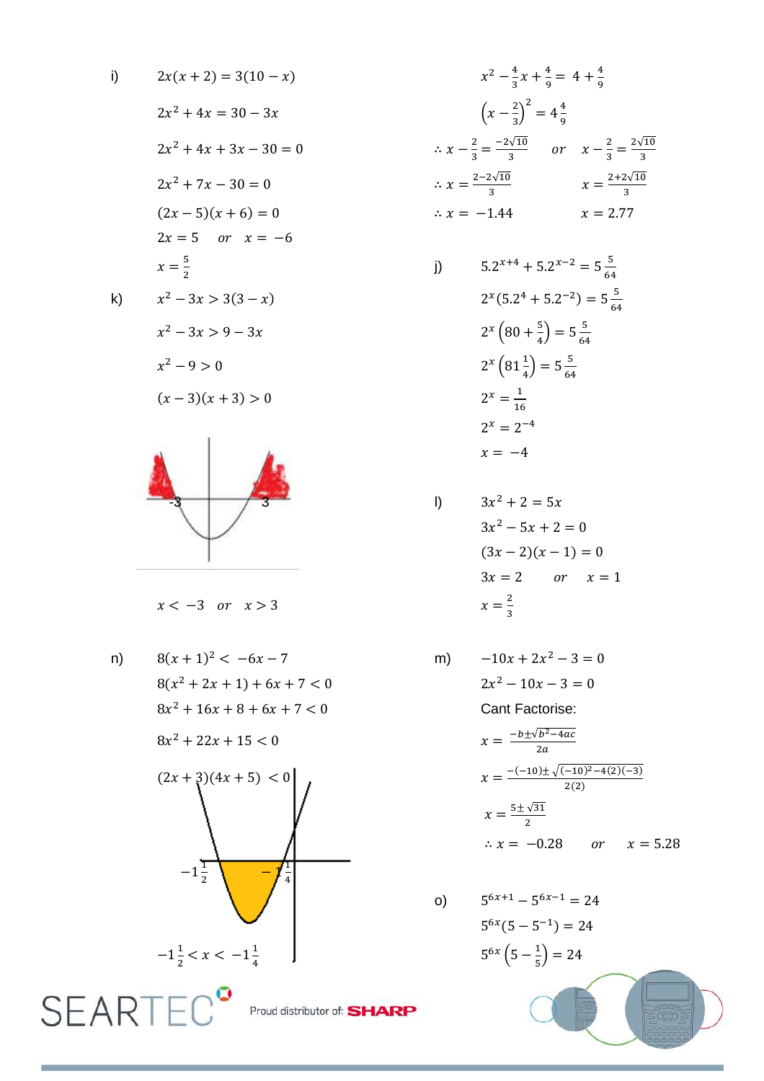i) 
$$
2x(x+2) = 3(10-x)
$$
  
\n $2x^2 + 4x = 30 - 3x$   
\n $2x^2 + 4x + 3x - 30 = 0$   
\n $2x^2 + 7x - 30 = 0$   
\n $(2x - 5)(x + 6) = 0$   
\n $2x = 5$  or  $x = -6$   
\n $x = \frac{5}{2}$   
\n k)  $x^2 - 3x > 3(3 - x)$ 

$$
-k)
$$

$$
x^{2}-3x > 9-3x
$$
  

$$
x^{2}-9 > 0
$$
  

$$
(x-3)(x+3) > 0
$$



## $x < -3$  or  $x > 3$

n) 
$$
8(x + 1)^2 < -6x - 7
$$
  
\n $8(x^2 + 2x + 1) + 6x + 7 < 0$   
\n $8x^2 + 16x + 8 + 6x + 7 < 0$   
\n $8x^2 + 22x + 15 < 0$   
\n $(2x + 3)(4x + 5) < 0$   
\n $-1\frac{1}{2}$   
\n $-1\frac{1}{2} < x < -1\frac{1}{4}$   
\nSEAR

$$
x^{2} - \frac{4}{3}x + \frac{4}{9} = 4 + \frac{4}{9}
$$

$$
\left(x - \frac{2}{3}\right)^{2} = 4\frac{4}{9}
$$

$$
\therefore x - \frac{2}{3} = \frac{-2\sqrt{10}}{3} \quad \text{or} \quad x - \frac{2}{3} = \frac{2\sqrt{10}}{3}
$$

$$
\therefore x = \frac{2 - 2\sqrt{10}}{3} \qquad x = \frac{2 + 2\sqrt{10}}{3}
$$

$$
\therefore x = -1.44 \qquad x = 2.77
$$

j) 
$$
5.2^{x+4} + 5.2^{x-2} = 5\frac{5}{64}
$$
  
\n $2^x(5.2^4 + 5.2^{-2}) = 5\frac{5}{64}$   
\n $2^x(80 + \frac{5}{4}) = 5\frac{5}{64}$   
\n $2^x(81\frac{1}{4}) = 5\frac{5}{64}$   
\n $2^x = \frac{1}{16}$   
\n $2^x = 2^{-4}$   
\n $x = -4$ 

1) 
$$
3x^2 + 2 = 5x
$$
  
\n $3x^2 - 5x + 2 = 0$   
\n $(3x - 2)(x - 1) = 0$   
\n $3x = 2$  or  $x = 1$   
\n $x = \frac{2}{3}$ 

m) 
$$
-10x + 2x^2 - 3 = 0
$$

$$
2x^2 - 10x - 3 = 0
$$
 Cant Factorise:
$$
x = \frac{-b \pm \sqrt{b^2 - 4ac}}{2a}
$$

$$
x = \frac{-(-10) \pm \sqrt{(-10)^2 - 4(2)(-3)}}{2(2)}
$$
  

$$
x = \frac{5 \pm \sqrt{31}}{2}
$$
  

$$
\therefore x = -0.28 \qquad or \qquad x = 5.28
$$

o) 
$$
5^{6x+1} - 5^{6x-1} = 24
$$
  
\n $5^{6x}(5 - 5^{-1}) = 24$   
\n $5^{6x}(5 - \frac{1}{5}) = 24$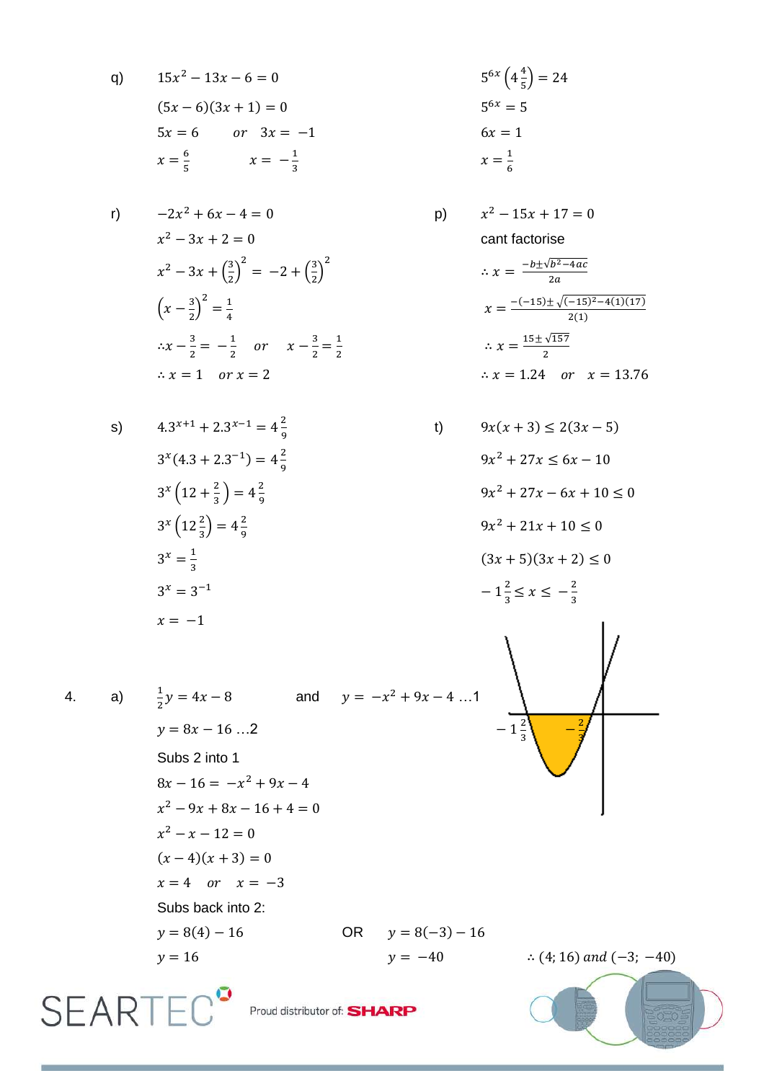q) 
$$
15x^2 - 13x - 6 = 0
$$
  
\n $(5x - 6)(3x + 1) = 0$   
\n $5x = 6$  or  $3x = -1$   
\n $x = \frac{6}{5}$   $x = -\frac{1}{3}$ 

r) 
$$
-2x^2 + 6x - 4 = 0
$$
  
\n $x^2 - 3x + 2 = 0$   
\n $x^2 - 3x + (\frac{3}{2})^2 = -2 + (\frac{3}{2})^2$   
\n $(x - \frac{3}{2})^2 = \frac{1}{4}$   
\n $\therefore x - \frac{3}{2} = -\frac{1}{2}$  or  $x - \frac{3}{2} = \frac{1}{2}$   
\n $\therefore x = 1$  or  $x = 2$ 

$$
5^{6x} \left(4 \frac{4}{5}\right) = 24
$$
  

$$
5^{6x} = 5
$$
  

$$
6x = 1
$$
  

$$
x = \frac{1}{6}
$$

p) 
$$
x^2 - 15x + 17 = 0
$$
  
cant factorise

 $t)$ 

$$
\therefore x = \frac{-b \pm \sqrt{b^2 - 4ac}}{2a}
$$

$$
x = \frac{-(-15) \pm \sqrt{(-15)^2 - 4(1)(17)}}{2(1)}
$$

$$
\therefore x = \frac{15 \pm \sqrt{157}}{2}
$$

$$
\therefore x = 1.24 \quad or \quad x = 13.76
$$

$$
4.3^{x+1} + 2.3^{x-1} = 4\frac{2}{9}
$$
  
\n
$$
3^{x}(4.3 + 2.3^{-1}) = 4\frac{2}{9}
$$
  
\n
$$
3^{x}(12 + \frac{2}{3}) = 4\frac{2}{9}
$$
  
\n
$$
3^{x}(12\frac{2}{3}) = 4\frac{2}{9}
$$
  
\n
$$
3^{x} = \frac{1}{3}
$$
  
\n
$$
3^{x} = 3^{-1}
$$
  
\n
$$
x = -1
$$

 $9x(x+3) \le 2(3x-5)$  $9x^2 + 27x \le 6x - 10$  $9x^2 + 27x - 6x + 10 \le 0$  $9x^2 + 21x + 10 \le 0$  $(3x + 5)(3x + 2) \le 0$  $-1\frac{2}{3} \le x \le -\frac{2}{3}$ 



$$
4. \hspace{20pt}
$$

 $a)$ 

**SEART** 

s)

$$
\frac{1}{2}y = 4x - 8 \qquad \text{and} \qquad y = -x^2 + 9x - 4 \dots 1
$$
  
\n
$$
y = 8x - 16 \dots 2
$$
  
\nSubs 2 into 1  
\n
$$
8x - 16 = -x^2 + 9x - 4
$$
  
\n
$$
x^2 - 9x + 8x - 16 + 4 = 0
$$
  
\n
$$
x^2 - x - 12 = 0
$$
  
\n
$$
(x - 4)(x + 3) = 0
$$
  
\n
$$
x = 4 \quad \text{or} \quad x = -3
$$
  
\nSubs back into 2:  
\n
$$
y = 8(4) - 16 \qquad \text{OR} \qquad y = 8(-3) - 16
$$
  
\n
$$
y = 16 \qquad \text{or} \qquad y = -40
$$

 $\therefore$  (4; 16) and (-3; -40)

Proud distributor of: SHARP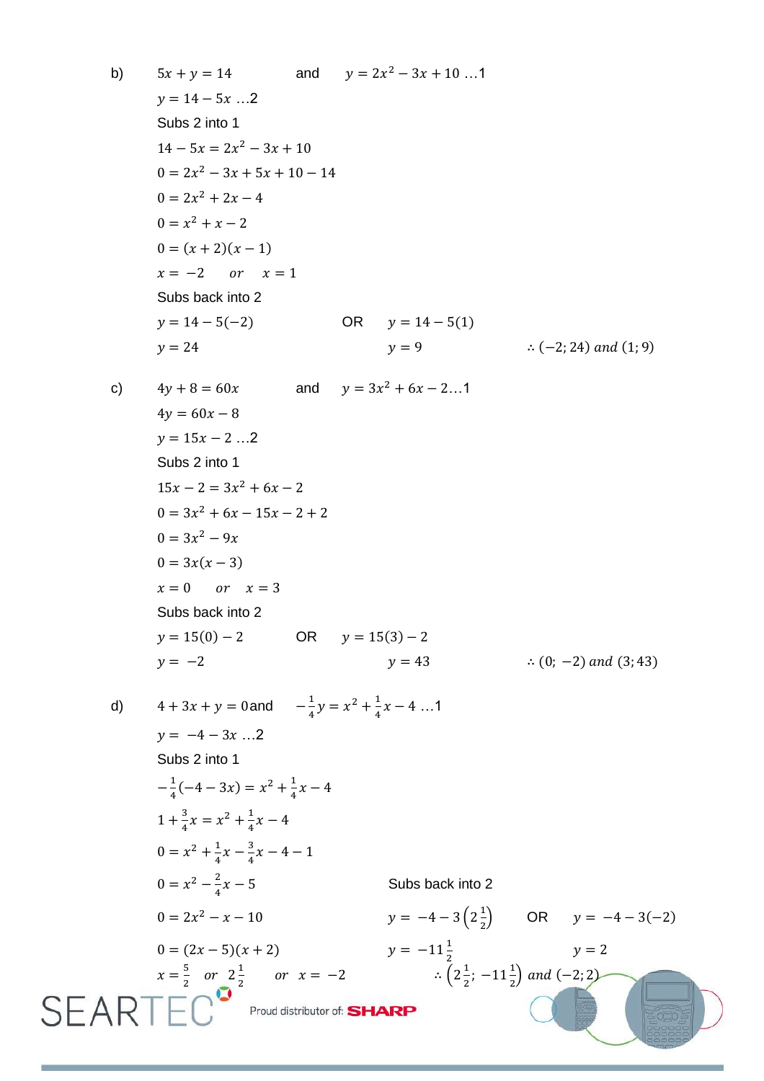b) 
$$
5x + y = 14
$$
 and  $y = 2x^2 - 3x + 10$ ...1  
\ny = 14 - 5x...2  
\nSubs 2 into 1  
\n $14 - 5x = 2x^2 - 3x + 10$   
\n $0 = 2x^2 - 3x + 5x + 10 - 14$   
\n $0 = 2x^2 + 2x - 4$   
\n $0 = x^2 + x - 2$   
\n $0 = (x + 2)(x - 1)$   
\nx = -2 or x = 1  
\nSubs back into 2  
\ny = 14 - 5(-2) OR y = 14 - 5(1)  
\ny = 9 ... (-2; 24) and (1; 9)  
\n $4y + 8 = 60x$  and  $y = 3x^2 + 6x - 2$ ...1  
\n $4y = 60x - 8$   
\ny = 15x - 2 ...2  
\nSubs 2 into 1  
\n $15x - 2 = 3x^2 + 6x - 2$   
\n $0 = 3x^2 + 6x - 15x - 2 + 2$   
\n $0 = 3x^2 - 9x$   
\n $0 = 3x^2 - 9x$   
\n $0 = 3x^2 - 9x$   
\n $0 = 3x(x - 3)$   
\nx = 0 or x = 3  
\nSubs back into 2  
\ny = -2  
\ny = 43  
\n $y = 43$  ... (0; -2) and (3; 43)  
\n $4 + 3x + y = 0$  and  $-\frac{1}{4}y = x^2 + \frac{1}{4}x - 4$  ...1  
\ny = -4 - 3x ...2  
\nSubs 2 into 1  
\n $-\frac{1}{4}(-4 - 3x) = x^2 + \frac{1}{4}x - 4$   
\n $1 + \frac{3}{4}x = x^2 + \frac{1}{4}x - 4$   
\n $1 + \frac{3}{4}x = x^2 + \frac{1}{4}x - 4$   
\n $1 + \frac{3}{4}x = x^2 + \frac{1}{4}x - 4$   
\n $0 = x^2 - \$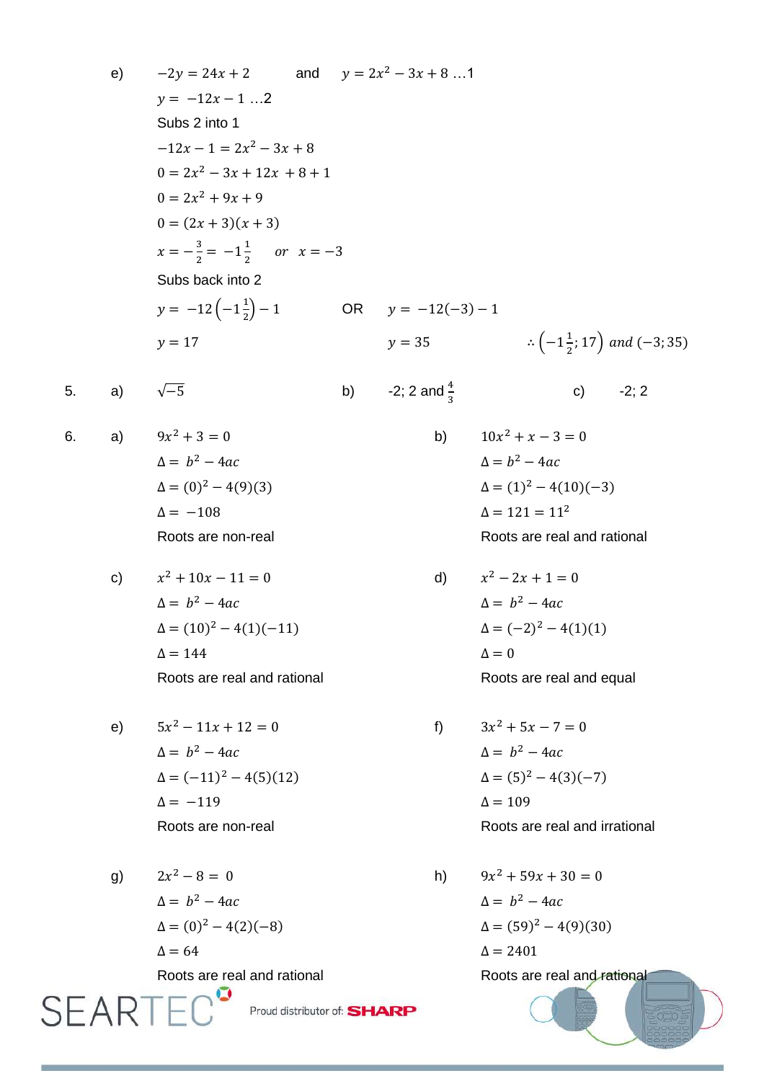e) 
$$
-2y = 24x + 2
$$
 and  $y = 2x^2 - 3x + 8 ... 1$   
\n $y = -12x - 1 ... 2$   
\nSubs 2 into 1  
\n $-12x - 1 = 2x^2 - 3x + 8$   
\n $0 = 2x^2 - 3x + 12x + 8 + 1$   
\n $0 = 2x^2 + 9x + 9$   
\n $0 = (2x + 3)(x + 3)$   
\n $x = -\frac{3}{2} = -1\frac{1}{2}$  or  $x = -3$   
\nSubs back into 2  
\n $y = -12(-1\frac{1}{2}) - 1$  OR  $y = -12(-3) - 1$   
\n $y = 17$   $y = 35$   $\therefore (-1\frac{1}{2};17)$  and  $(-3;35)$   
\n5. a)  $\sqrt{-5}$  b)  $-2; 2$  and  $\frac{4}{3}$  c)  $-2; 2$   
\n6. a)  $9x^2 + 3 = 0$  b)  $10x^2 + x - 3 = 0$   
\n $\Delta = b^2 - 4ac$   
\n $\Delta = (0)^2 - 4(9)(3)$   
\n $\Delta = -108$   $\Delta = b^2 - 4ac$   
\n $\Delta = (1)^2 - 4(10)(-3)$   
\n $\Delta = 121 = 11^2$   
\nRoots are non-real  
\n6)  $x^2 + 10x - 11 = 0$  d)  $x^2 - 2x + 1 = 0$   
\n $\Delta = b^2 - 4ac$   
\n $\Delta = (1)^2 - 4(1)(-11)$   
\n $\Delta = 144$   $\Delta = (-2)^2 - 4(1)(1)$   
\n $\Delta = 144$   $\Delta = -0$   
\n $\Delta = b^2 - 4ac$   
\n $\Delta = (-1)^2 - 4(5)(12)$   
\n $\Delta = (-1)^2 - 4(3)(-7)$   
\n $\Delta = (-1)^2 - 4(5)(1$ 

g) 
$$
2x^2 - 8 = 0
$$
  
\n $\Delta = b^2 - 4ac$   
\n $\Delta = (0)^2 - 4(2)(-8)$   
\n $\Delta = 64$   
\nRoots are real and rational  
\nh)  $9x^2 + 59x + 30 = 0$   
\n $\Delta = b^2 - 4ac$   
\n $\Delta = (59)^2 - 4(9)(30)$   
\nRoots are real and rational

 $6.$ 

Roots are real and rational Roots are real and rational Roots are real and rational Roots are real and rational Roots are real and rational Roots are real and rational Roots are real and rational Roots are real and rationa

 $9x^2 + 59x + 30 = 0$ 

 $\Delta = b^2 - 4ac$ 

 $\Delta = 2401$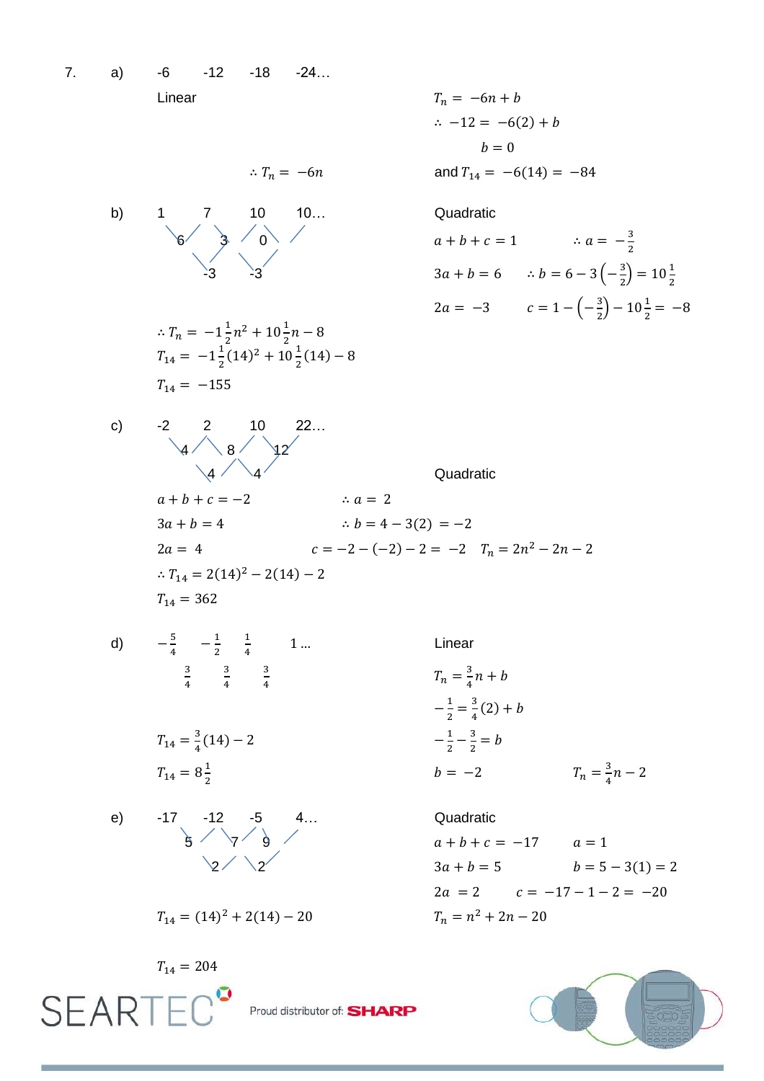7. a) -6 -12 -18 -24… Linear

$$
T_n = -6n + b
$$
  
\n
$$
\therefore -12 = -6(2) + b
$$
  
\n
$$
b = 0
$$
  
\n6n and  $T_{14} = -6(14) = -84$ 

$$
\therefore T_n = -6n
$$



$$
\therefore T_n = -1\frac{1}{2}n^2 + 10\frac{1}{2}n - 8
$$
  
\n
$$
T_{14} = -1\frac{1}{2}(14)^2 + 10\frac{1}{2}(14) - 8
$$
  
\n
$$
T_{14} = -155
$$

3  $\overline{\mathbf{c}}$  $-3$   $-3$   $-3$   $3a + b = 6$   $\therefore b = 6 - 3 \left(-\frac{3}{2}\right)$  $\frac{3}{2}$ ) = 10 $\frac{1}{2}$  $2a = -3$   $c = 1 - \left(-\frac{3}{2}\right)$  $\frac{3}{2}$ ) – 10 $\frac{1}{2}$  =

c) -2 2 10 22…  $4 / 8 / 92$  $4 \times 4 \times 4$  Quadratic  $a + b + c = -2$  $\therefore a = 2$  $3a + b = 4$  :  $b = 4 - 3(2) = -2$  $2a = 4$   $c = -2 - (-2) - 2 = -2$   $T_n = 2n^2$  $T_{14} = 2(14)^2 - 2(14) T_{14} = 362$ 

d) 
$$
-\frac{5}{4}
$$

$$
\frac{5}{4} \quad -\frac{1}{2} \quad \frac{1}{4}
$$
\n
$$
\frac{3}{4} \quad \frac{3}{4}
$$

 $\mathbf{1}$ 

$$
T_{14} = \frac{3}{4}(14) - 2
$$
  

$$
T_{14} = 8\frac{1}{2}
$$

3 4

e) -17 -12 -5 4… Quadratic  $5'$   $7'$  9  $a$ 

 $T_{14} = 204$ 

**SEARTEC**<sup>°</sup>

$$
4)-2
$$

3 4

$$
-17 -12 -5 4.
$$
\n
$$
3 \times 7 - 9
$$
\n
$$
2 \times 2
$$

$$
T_{14} = (14)^2 + 2(14) - 20
$$

Linear  
\n
$$
T_n = \frac{3}{4}n + b
$$
\n
$$
-\frac{1}{2} = \frac{3}{4}(2) + b
$$
\n
$$
-\frac{1}{2} - \frac{3}{2} = b
$$
\n
$$
b = -2 \qquad T_n = \frac{3}{4}n - 2
$$

## $3a + b = 5$   $b = 5 - 3(1) = 2$  $2a = 2$   $c = -17 - 1 - 2 = -20$  $T_n = n^2 + 2n - 20$



Proud distributor of: **SHARP**